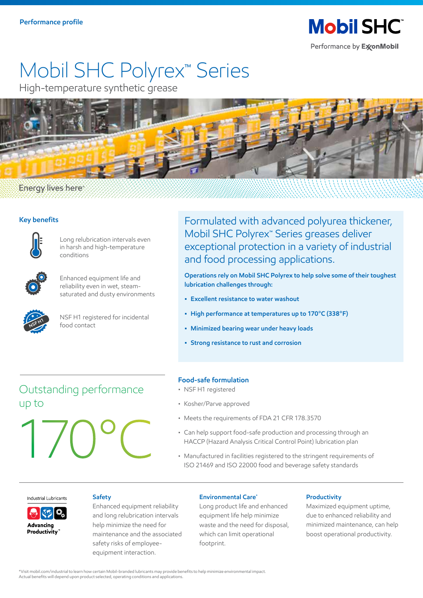**Mobil SHC** Performance by ExxonMobil

# Mobil SHC Polyrex™ Series

High-temperature synthetic grease



## **Energy lives here**

## **Key benefits**



Long relubrication intervals even in harsh and high-temperature conditions



Enhanced equipment life and reliability even in wet, steamsaturated and dusty environments



NSF H1 registered for incidental food contact

Formulated with advanced polyurea thickener, Mobil SHC Polyrex™ Series greases deliver exceptional protection in a variety of industrial and food processing applications.

**Operations rely on Mobil SHC Polyrex to help solve some of their toughest lubrication challenges through:**

- **Excellent resistance to water washout**
- **High performance at temperatures up to 170°C (338°F)**
- **Minimized bearing wear under heavy loads**
- **Strong resistance to rust and corrosion**

## Outstanding performance up to

17 0°C

## **Food-safe formulation**

- NSF H1 registered
- Kosher/Parve approved
- Meets the requirements of FDA 21 CFR 178.3570
- Can help support food-safe production and processing through an HACCP (Hazard Analysis Critical Control Point) lubrication plan
- Manufactured in facilities registered to the stringent requirements of ISO 21469 and ISO 22000 food and beverage safety standards

#### Industrial Lubricants



safety risks of employee-<br>footprint. equipment interaction.

### **Safety Environmental Care\* Productivity**

Enhanced equipment reliability Long product life and enhanced Maximized equipment uptime, and long relubrication intervals equipment life help minimize due to enhanced reliability and help minimize the need for waste and the need for disposal, minimized maintenance, can help maintenance and the associated which can limit operational boost operational productivity.

\*Visit mobil.com/industrial to learn how certain Mobil-branded lubricants may provide benefits to help minimize environmental impact. Actual benefits will depend upon product selected, operating conditions and applications.